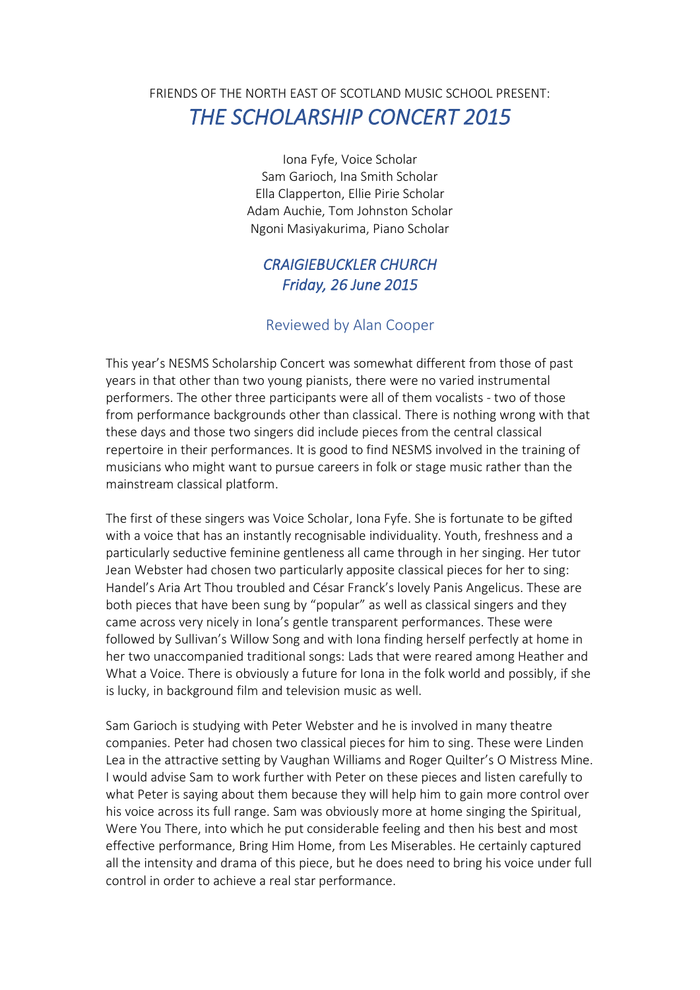## FRIENDS OF THE NORTH EAST OF SCOTLAND MUSIC SCHOOL PRESENT: *THE SCHOLARSHIP CONCERT 2015*

Iona Fyfe, Voice Scholar Sam Garioch, Ina Smith Scholar Ella Clapperton, Ellie Pirie Scholar Adam Auchie, Tom Johnston Scholar Ngoni Masiyakurima, Piano Scholar

## *CRAIGIEBUCKLER CHURCH Friday, 26 June 2015*

## Reviewed by Alan Cooper

This year's NESMS Scholarship Concert was somewhat different from those of past years in that other than two young pianists, there were no varied instrumental performers. The other three participants were all of them vocalists - two of those from performance backgrounds other than classical. There is nothing wrong with that these days and those two singers did include pieces from the central classical repertoire in their performances. It is good to find NESMS involved in the training of musicians who might want to pursue careers in folk or stage music rather than the mainstream classical platform.

The first of these singers was Voice Scholar, Iona Fyfe. She is fortunate to be gifted with a voice that has an instantly recognisable individuality. Youth, freshness and a particularly seductive feminine gentleness all came through in her singing. Her tutor Jean Webster had chosen two particularly apposite classical pieces for her to sing: Handel's Aria Art Thou troubled and César Franck's lovely Panis Angelicus. These are both pieces that have been sung by "popular" as well as classical singers and they came across very nicely in Iona's gentle transparent performances. These were followed by Sullivan's Willow Song and with Iona finding herself perfectly at home in her two unaccompanied traditional songs: Lads that were reared among Heather and What a Voice. There is obviously a future for Iona in the folk world and possibly, if she is lucky, in background film and television music as well.

Sam Garioch is studying with Peter Webster and he is involved in many theatre companies. Peter had chosen two classical pieces for him to sing. These were Linden Lea in the attractive setting by Vaughan Williams and Roger Quilter's O Mistress Mine. I would advise Sam to work further with Peter on these pieces and listen carefully to what Peter is saying about them because they will help him to gain more control over his voice across its full range. Sam was obviously more at home singing the Spiritual, Were You There, into which he put considerable feeling and then his best and most effective performance, Bring Him Home, from Les Miserables. He certainly captured all the intensity and drama of this piece, but he does need to bring his voice under full control in order to achieve a real star performance.